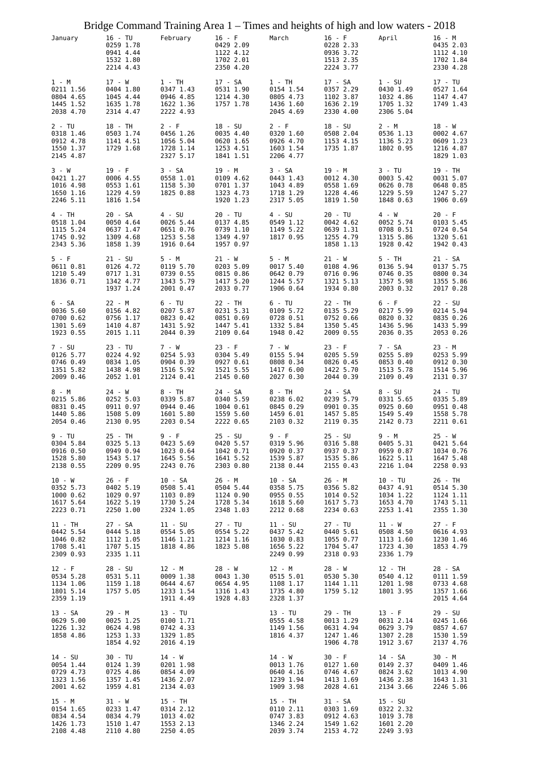| Bridge Command Training Area $1 -$ Times and heights of high and low waters - 2018 |                                                               |                                                               |                                                              |                                                              |                                                               |                                                               |                                                              |
|------------------------------------------------------------------------------------|---------------------------------------------------------------|---------------------------------------------------------------|--------------------------------------------------------------|--------------------------------------------------------------|---------------------------------------------------------------|---------------------------------------------------------------|--------------------------------------------------------------|
| January                                                                            | 16 - TU<br>0259 1.78<br>0941 4.44<br>1532 1.80<br>2214 4.43   | February                                                      | $16 - F$<br>0429 2.09<br>1122 4.12<br>1702 2.01<br>2350 4.20 | March                                                        | $16 - F$<br>0228 2.33<br>0936 3.72<br>1513 2.35<br>2224 3.77  | April                                                         | 16 - M<br>0435 2.03<br>1112 4.10<br>1702 1.84<br>2330 4.28   |
| 1 - M<br>0211 1.56<br>0804 4.65<br>1445 1.52<br>2038 4.70                          | 17 - W<br>0404 1.80<br>1045 4.44<br>1635 1.78<br>2314 4.47    | $1 - TH$<br>0347 1.43<br>0946 4.85<br>1622 1.36<br>2222 4.93  | 17 - SA<br>0531 1.90<br>1214 4.30<br>1757 1.78               | $1 - TH$<br>0154 1.54<br>0805 4.73<br>1436 1.60<br>2045 4.69 | 17 - SA<br>0357 2.29<br>1102 3.87<br>1636 2.19<br>2330 4.00   | $1 - SU$<br>0430 1.49<br>1032 4.86<br>1705 1.32<br>2306 5.04  | 17 - TU<br>0527 1.64<br>1147 4.47<br>1749 1.43               |
| $2 - TU$<br>0318 1.46<br>0912 4.78<br>1550 1.37<br>2145 4.87                       | 18 - TH<br>0503 1.74<br>1141 4.51<br>1729 1.68                | $2 - F$<br>0456 1.26<br>1056 5.04<br>1728 1.14<br>2327 5.17   | 18 - SU<br>0035 4.40<br>0620 1.65<br>1253 4.51<br>1841 1.51  | $2 - F$<br>0320 1.60<br>0926 4.70<br>1603 1.54<br>2206 4.77  | 18 - SU<br>0508 2.04<br>1153 4.15<br>1735 1.87                | $2 - M$<br>0536 1.13<br>1136 5.23<br>1802 0.95                | 18 - W<br>0002 4.67<br>0609 1.23<br>1216 4.87<br>1829 1.03   |
| 3 - W<br>0421 1.27<br>1016 4.98<br>1650 1.16<br>2246 5.11                          | $19 - F$<br>0006 4.55<br>0553 1.61<br>1229 4.59<br>1816 1.54  | 3 - SA<br>0558 1.01<br>1158 5.30<br>1825 0.88                 | 19 - M<br>0109 4.62<br>0701 1.37<br>1323 4.73<br>1920 1.23   | 3 - SA<br>0443 1.43<br>1043 4.89<br>1718 1.29<br>2317 5.05   | 19 - M<br>0012 4.30<br>0558 1.69<br>1228 4.46<br>1819 1.50    | $3 - TU$<br>0003 5.42<br>0626 0.78<br>1229 5.59<br>1848 0.63  | 19 - TH<br>0031 5.07<br>0648 0.85<br>1247 5.27<br>1906 0.69  |
| 4 - TH<br>0518 1.04<br>1115 5.24<br>1745 0.92<br>2343 5.36                         | 20 - SA<br>0050 4.64<br>0637 1.47<br>1309 4.68<br>1858 1.39   | 4 - SU<br>0026 5.44<br>0651 0.76<br>1253 5.58<br>1916 0.64    | 20 - TU<br>0137 4.85<br>0739 1.10<br>1349 4.97<br>1957 0.97  | $4 - SU$<br>0549 1.12<br>1149 5.22<br>1817 0.95              | $20 - TU$<br>0042 4.62<br>0639 1.31<br>1255 4.79<br>1858 1.13 | 4 - W<br>0052 5.74<br>0708 0.51<br>1315 5.86<br>1928 0.42     | $20 - F$<br>0103 5.45<br>0724 0.54<br>1320 5.61<br>1942 0.43 |
| 5 - F<br>0611 0.81<br>1210 5.49<br>1836 0.71                                       | $21 - SU$<br>0126 4.72<br>0717 1.31<br>1342 4.77<br>1937 1.24 | 5 - M<br>0119 5.70<br>0739 0.55<br>1343 5.79<br>2001 0.47     | 21 - W<br>0203 5.09<br>0815 0.86<br>1417 5.20<br>2033 0.77   | $5 - M$<br>0017 5.40<br>0642 0.79<br>1244 5.57<br>1906 0.64  | $21 - W$<br>0108 4.96<br>0716 0.96<br>1321 5.13<br>1934 0.80  | 5 - TH<br>0136 5.94<br>0746 0.35<br>1357 5.98<br>2003 0.32    | 21 - SA<br>0137 5.75<br>0800 0.34<br>1355 5.86<br>2017 0.28  |
| 6 - SA<br>0036 5.60<br>0700 0.62<br>1301 5.69<br>1923 0.55                         | 22 - M<br>0156 4.82<br>0756 1.17<br>1410 4.87<br>2015 1.11    | 6 - TU<br>0207 5.87<br>0823 0.42<br>1431 5.92<br>2044 0.39    | 22 - TH<br>0231 5.31<br>0851 0.69<br>1447 5.41<br>2109 0.64  | $6 - TU$<br>0109 5.72<br>0728 0.51<br>1332 5.84<br>1948 0.42 | 22 - TH<br>0135 5.29<br>0752 0.66<br>1350 5.45<br>2009 0.55   | $6 - F$<br>0217 5.99<br>0820 0.32<br>1436 5.96<br>2036 0.35   | 22 - SU<br>0214 5.94<br>0835 0.26<br>1433 5.99<br>2053 0.26  |
| 7 - SU<br>0126 5.77<br>0746 0.49<br>1351 5.82<br>2009 0.46                         | 23 - TU<br>0224 4.92<br>0834 1.05<br>1438 4.98<br>2052 1.01   | 7 - W<br>0254 5.93<br>0904 0.39<br>1516 5.92<br>2124 0.41     | $23 - F$<br>0304 5.49<br>0927 0.61<br>1521 5.55<br>2145 0.60 | 7 - W<br>0155 5.94<br>0808 0.34<br>1417 6.00<br>2027 0.30    | 23 - F<br>0205 5.59<br>0826 0.45<br>1422 5.70<br>2044 0.39    | 7 - SA<br>0255 5.89<br>0853 0.40<br>1513 5.78<br>2109 0.49    | 23 - M<br>0253 5.99<br>0912 0.30<br>1514 5.96<br>2131 0.37   |
| 8 - M<br>0215 5.86<br>0831 0.45<br>1440 5.86<br>2054 0.46                          | 24 - W<br>0252 5.03<br>0911 0.97<br>1508 5.09<br>2130 0.95    | 8 - TH<br>0339 5.87<br>0944 0.46<br>1601 5.80<br>2203 0.54    | 24 - SA<br>0340 5.59<br>1004 0.61<br>1559 5.60<br>2222 0.65  | 8 - TH<br>0238 6.02<br>0845 0.29<br>1459 6.01<br>2103 0.32   | 24 - SA<br>0239 5.79<br>0901 0.35<br>1457 5.85<br>2119 0.35   | $8 - SU$<br>0331 5.65<br>0925 0.60<br>1549 5.49<br>2142 0.73  | 24 - TU<br>0335 5.89<br>0951 0.48<br>1558 5.78<br>2211 0.61  |
| 9 - TU<br>0304 5.84<br>0916 0.50<br>1528 5.80<br>2138 0.55                         | 25 - TH<br>0325 5.13<br>0949 0.94<br>1543 5.17<br>2209 0.95   | 9 - F<br>0423 5.69<br>1023 0.64<br>1645 5.56<br>2243 0.76     | 25 - SU<br>0420 5.57<br>1042 0.71<br>1641 5.52<br>2303 0.80  | 9 - F<br>0319 5.96<br>0920 0.37<br>1539 5.87<br>2138 0.44    | 25 - SU<br>0316 5.88<br>0937 0.37<br>1535 5.86<br>2155 0.43   | 9 - M<br>0405 5.31<br>0959 0.87<br>1622 5.11<br>2216 1.04     | 25 - W<br>0421 5.64<br>1034 0.76<br>1647 5.48<br>2258 0.93   |
| 10 - W<br>0352 5.73<br>1000 0.62<br>1617 5.64<br>2223 0.71                         | $26 - F$<br>0402 5.19<br>1029 0.97<br>1622 5.19<br>2250 1.00  | 10 - SA<br>0508 5.41<br>1103 0.89<br>1730 5.24<br>2324 1.05   | 26 - M<br>0504 5.44<br>1124 0.90<br>1728 5.34<br>2348 1.03   | 10 - SA<br>0358 5.75<br>0955 0.55<br>1618 5.60<br>2212 0.68  | 26 - M<br>0356 5.82<br>1014 0.52<br>1617 5.73<br>2234 0.63    | 10 - TU<br>0437 4.91<br>1034 1.22<br>1653 4.70<br>2253 1.41   | 26 - TH<br>0514 5.30<br>1124 1.11<br>1743 5.11<br>2355 1.30  |
| 11 - TH<br>0442 5.54<br>1046 0.82<br>1708 5.41<br>2309 0.93                        | 27 - SA<br>0444 5.18<br>1112 1.05<br>1707 5.15<br>2335 1.11   | $11 - SU$<br>0554 5.05<br>1146 1.21<br>1818 4.86              | 27 - TU<br>0554 5.22<br>1214 1.16<br>1823 5.08               | 11 - SU<br>0437 5.42<br>1030 0.83<br>1656 5.22<br>2249 0.99  | 27 - TU<br>0440 5.61<br>1055 0.77<br>1704 5.47<br>2318 0.93   | 11 - W<br>0508 4.50<br>1113 1.60<br>1723 4.30<br>2336 1.79    | $27 - F$<br>0616 4.93<br>1230 1.46<br>1853 4.79              |
| $12 - F$<br>0534 5.28<br>1134 1.06<br>1801 5.14<br>2359 1.19                       | 28 - SU<br>0531 5.11<br>1159 1.18<br>1757 5.05                | 12 - M<br>0009 1.38<br>0644 4.67<br>1233 1.54<br>1911 4.49    | 28 - W<br>0043 1.30<br>0654 4.95<br>1316 1.43<br>1928 4.83   | 12 - M<br>0515 5.01<br>1108 1.17<br>1735 4.80<br>2328 1.37   | 28 - W<br>0530 5.30<br>1144 1.11<br>1759 5.12                 | 12 - TH<br>0540 4.12<br>1201 1.98<br>1801 3.95                | 28 - SA<br>0111 1.59<br>0733 4.68<br>1357 1.66<br>2015 4.64  |
| 13 - SA<br>0629 5.00<br>1226 1.32<br>1858 4.86                                     | 29 - M<br>0025 1.25<br>0624 4.98<br>1253 1.33<br>1854 4.92    | $13 - TU$<br>0100 1.71<br>0742 4.33<br>1329 1.85<br>2016 4.19 |                                                              | 13 - TU<br>0555 4.58<br>1149 1.56<br>1816 4.37               | 29 - TH<br>0013 1.29<br>0631 4.94<br>1247 1.46<br>1906 4.78   | $13 - F$<br>0031 2.14<br>0629 3.79<br>1307 2.28<br>1912 3.67  | 29 - SU<br>0245 1.66<br>0857 4.67<br>1530 1.59<br>2137 4.76  |
| 14 - SU<br>0054 1.44<br>0729 4.73<br>1323 1.56<br>2001 4.62                        | 30 - TU<br>0124 1.39<br>0725 4.86<br>1357 1.45<br>1959 4.81   | $14 - W$<br>0201 1.98<br>0854 4.09<br>1436 2.07<br>2134 4.03  |                                                              | $14 - W$<br>0013 1.76<br>0640 4.16<br>1239 1.94<br>1909 3.98 | $30 - F$<br>0127 1.60<br>0746 4.67<br>1413 1.69<br>2028 4.61  | 14 - SA<br>0149 2.37<br>0824 3.62<br>1436 2.38<br>2134 3.66   | 30 - M<br>0409 1.46<br>1013 4.90<br>1643 1.31<br>2246 5.06   |
| 15 - M<br>0154 1.65<br>0834 4.54<br>1426 1.73<br>2108 4.48                         | 31 - W<br>0233 1.47<br>0834 4.79<br>1510 1.47<br>2110 4.80    | 15 - TH<br>0314 2.12<br>1013 4.02<br>1553 2.13<br>2250 4.05   |                                                              | 15 - TH<br>0110 2.11<br>0747 3.83<br>1346 2.24<br>2039 3.74  | 31 - SA<br>0303 1.69<br>0912 4.63<br>1549 1.62<br>2153 4.72   | $15 - SU$<br>0322 2.32<br>1019 3.78<br>1601 2.20<br>2249 3.93 |                                                              |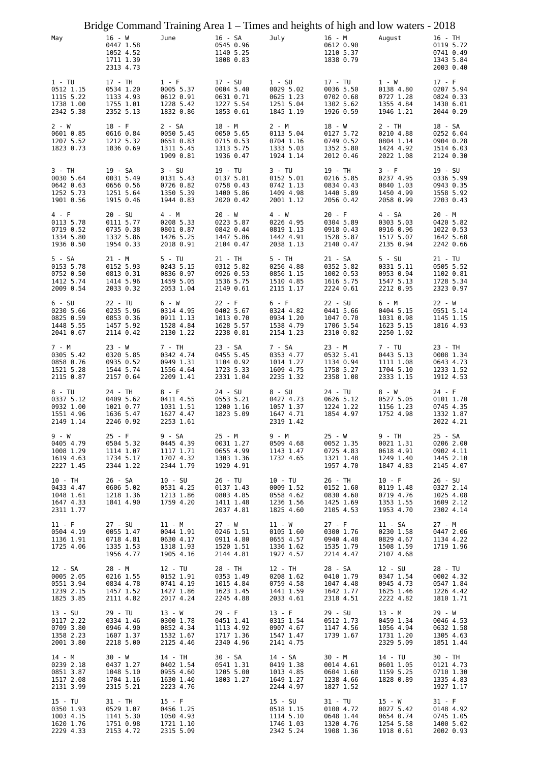| Bridge Command Training Area 1 – Times and heights of high and low waters - 2018 |                                                               |                                                              |                                                               |                                                               |                                                               |                                                              |                                                               |
|----------------------------------------------------------------------------------|---------------------------------------------------------------|--------------------------------------------------------------|---------------------------------------------------------------|---------------------------------------------------------------|---------------------------------------------------------------|--------------------------------------------------------------|---------------------------------------------------------------|
| May                                                                              | 16 - W<br>0447 1.58<br>1052 4.52<br>1711 1.39<br>2313 4.73    | June                                                         | 16 - SA<br>0545 0.96<br>1140 5.25<br>1808 0.83                | July                                                          | 16 - M<br>0612 0.90<br>1210 5.37<br>1838 0.79                 | August                                                       | 16 - TH<br>0119 5.72<br>0741 0.49<br>1343 5.84<br>2003 0.40   |
| 1 - TU<br>0512 1.15<br>1115 5.22<br>1738 1.00<br>2342 5.38                       | 17 - TH<br>0534 1.20<br>1133 4.93<br>1755 1.01<br>2352 5.13   | 1 - F<br>0005 5.37<br>0612 0.91<br>1228 5.42<br>1832 0.86    | 17 - SU<br>0004 5.40<br>0631 0.71<br>1227 5.54<br>1853 0.61   | $1 - SU$<br>0029 5.02<br>0625 1.23<br>1251 5.04<br>1845 1.19  | 17 - TU<br>0036 5.50<br>0702 0.68<br>1302 5.62<br>1926 0.59   | $1 - W$<br>0138 4.80<br>0727 1.28<br>1355 4.84<br>1946 1.21  | $17 - F$<br>0207 5.94<br>0824 0.33<br>1430 6.01<br>2044 0.29  |
| 2 - W<br>0601 0.85<br>1207 5.52<br>1823 0.73                                     | 18 - F<br>0616 0.84<br>1212 5.32<br>1836 0.69                 | 2 - SA<br>0050 5.45<br>0651 0.83<br>1311 5.45<br>1909 0.81   | 18 - M<br>0050 5.65<br>0715 0.53<br>1313 5.75<br>1936 0.47    | 2 - M<br>0113 5.04<br>0704 1.16<br>1333 5.03<br>1924 1.14     | $18 - W$<br>0127 5.72<br>0749 0.52<br>1352 5.80<br>2012 0.46  | 2 - TH<br>0210 4.88<br>0804 1.14<br>1424 4.92<br>2022 1.08   | 18 - SA<br>0252 6.04<br>0904 0.28<br>1514 6.03<br>2124 0.30   |
| 3 - TH<br>0030 5.64<br>0642 0.63<br>1252 5.73<br>1901 0.56                       | 19 - SA<br>0031 5.49<br>0656 0.56<br>1251 5.64<br>1915 0.46   | $3 - SU$<br>0131 5.43<br>0726 0.82<br>1350 5.39<br>1944 0.83 | 19 - TU<br>0137 5.81<br>0758 0.43<br>1400 5.86<br>2020 0.42   | 3 - TU<br>0152 5.01<br>0742 1.13<br>1409 4.98<br>2001 1.12    | 19 - TH<br>0216 5.85<br>0834 0.43<br>1440 5.89<br>2056 0.42   | 3 - F<br>0237 4.95<br>0840 1.03<br>1450 4.99<br>2058 0.99    | $19 - SU$<br>0336 5.99<br>0943 0.35<br>1558 5.92<br>2203 0.43 |
| 4 - F<br>0113 5.78<br>0719 0.52<br>1334 5.80<br>1936 0.50                        | $20 - SU$<br>0111 5.77<br>0735 0.38<br>1332 5.86<br>1954 0.33 | 4 - M<br>0208 5.33<br>0801 0.87<br>1426 5.25<br>2018 0.91    | $20 - W$<br>0223 5.87<br>0842 0.44<br>1447 5.86<br>2104 0.47  | 4 - W<br>0226 4.95<br>0819 1.13<br>1442 4.91<br>2038 1.13     | $20 - F$<br>0304 5.89<br>0918 0.43<br>1528 5.87<br>2140 0.47  | 4 - SA<br>0303 5.03<br>0916 0.96<br>1517 5.07<br>2135 0.94   | 20 - M<br>0420 5.82<br>1022 0.53<br>1642 5.68<br>2242 0.66    |
| 5 - SA<br>0153 5.78<br>0752 0.50<br>1412 5.74<br>2009 0.54                       | 21 - M<br>0152 5.93<br>0813 0.31<br>1414 5.96<br>2033 0.32    | $5 - TU$<br>0243 5.15<br>0836 0.97<br>1459 5.05<br>2053 1.04 | 21 - TH<br>0312 5.82<br>0926 0.53<br>1536 5.75<br>2149 0.61   | 5 - TH<br>0256 4.88<br>0856 1.15<br>1510 4.85<br>2115 1.17    | 21 - SA<br>0352 5.82<br>1002 0.53<br>1616 5.75<br>2224 0.61   | $5 - SU$<br>0331 5.11<br>0953 0.94<br>1547 5.13<br>2212 0.95 | $21 - TU$<br>0505 5.52<br>1102 0.81<br>1728 5.34<br>2323 0.97 |
| $6 - SU$<br>0230 5.66<br>0825 0.59<br>1448 5.55<br>2041 0.67                     | 22 - TU<br>0235 5.96<br>0853 0.36<br>1457 5.92<br>2114 0.42   | 6 - W<br>0314 4.95<br>0911 1.13<br>1528 4.84<br>2130 1.22    | $22 - F$<br>0402 5.67<br>1013 0.70<br>1628 5.57<br>2238 0.81  | 6 - F<br>0324 4.82<br>0934 1.20<br>1538 4.79<br>2154 1.23     | $22 - SU$<br>0441 5.66<br>1047 0.70<br>1706 5.54<br>2310 0.82 | 6 - M<br>0404 5.15<br>1031 0.98<br>1623 5.15<br>2250 1.02    | $22 - W$<br>0551 5.14<br>1145 1.15<br>1816 4.93               |
| 7 - M<br>0305 5.42<br>0858 0.76<br>1521 5.28<br>2115 0.87                        | 23 - W<br>0320 5.85<br>0935 0.52<br>1544 5.74<br>2157 0.64    | 7 - TH<br>0342 4.74<br>0949 1.31<br>1556 4.64<br>2209 1.41   | 23 - SA<br>0455 5.45<br>1104 0.92<br>1723 5.33<br>2331 1.04   | 7 - SA<br>0353 4.77<br>1014 1.27<br>1609 4.75<br>2235 1.32    | 23 - M<br>0532 5.41<br>1134 0.94<br>1758 5.27<br>2358 1.08    | 7 - TU<br>0443 5.13<br>1111 1.08<br>1704 5.10<br>2333 1.15   | 23 - TH<br>0008 1.34<br>0643 4.73<br>1233 1.52<br>1912 4.53   |
| $8 - TU$<br>0337 5.12<br>0932 1.00<br>1551 4.96<br>2149 1.14                     | 24 - TH<br>0409 5.62<br>1021 0.77<br>1636 5.47<br>2246 0.92   | 8 - F<br>0411 4.55<br>1031 1.51<br>1627 4.47<br>2253 1.61    | 24 - SU<br>0553 5.21<br>1200 1.16<br>1823 5.09                | $8 - SU$<br>0427 4.73<br>1057 1.37<br>1647 4.71<br>2319 1.42  | 24 - TU<br>0626 5.12<br>1224 1.22<br>1854 4.97                | 8 - W<br>0527 5.05<br>1156 1.23<br>1752 4.98                 | 24 - F<br>0101 1.70<br>0745 4.35<br>1332 1.87<br>2022 4.21    |
| 9 - W<br>0405 4.79<br>1008 1.29<br>1619 4.63<br>2227 1.45                        | $25 - F$<br>0504 5.32<br>1114 1.07<br>1734 5.17<br>2344 1.22  | 9 - SA<br>0445 4.39<br>1117 1.71<br>1707 4.32<br>2344 1.79   | 25 - M<br>0031 1.27<br>0655 4.99<br>1303 1.36<br>1929 4.91    | 9 - M<br>0509 4.68<br>1143 1.47<br>1732 4.65                  | 25 - W<br>0052 1.35<br>0725 4.83<br>1321 1.48<br>1957 4.70    | 9 - TH<br>0021 1.31<br>0618 4.91<br>1249 1.40<br>1847 4.83   | 25 - SA<br>0206 2.00<br>0902 4.11<br>1445 2.10<br>2145 4.07   |
| 10 - TH<br>0433 4.47<br>1048 1.61<br>1647 4.33<br>2311 1.77                      | 26 - SA<br>0606 5.02<br>1218 1.36<br>1841 4.90                | 10 - SU<br>0531 4.25<br>1213 1.86<br>1759 4.20               | $26 - TU$<br>0137 1.43<br>0803 4.85<br>1411 1.48<br>2037 4.81 | 10 - TU<br>0009 1.52<br>0558 4.62<br>1236 1.56<br>1825 4.60   | 26 - TH<br>0152 1.60<br>0830 4.60<br>1425 1.69<br>2105 4.53   | $10 - F$<br>0119 1.48<br>0719 4.76<br>1353 1.55<br>1953 4.70 | $26 - SU$<br>0327 2.14<br>1025 4.08<br>1609 2.12<br>2302 4.14 |
| $11 - F$<br>0504 4.19<br>1136 1.91<br>1725 4.06                                  | 27 - SU<br>0055 1.47<br>0718 4.81<br>1335 1.53<br>1956 4.77   | 11 - M<br>0044 1.91<br>0630 4.17<br>1318 1.93<br>1905 4.16   | 27 - W<br>0246 1.51<br>0911 4.80<br>1520 1.51<br>2144 4.81    | 11 - W<br>0105 1.60<br>0655 4.57<br>1336 1.62<br>1927 4.57    | 27 - F<br>0300 1.76<br>0940 4.48<br>1535 1.79<br>2214 4.47    | 11 - SA<br>0230 1.58<br>0829 4.67<br>1508 1.59<br>2107 4.68  | 27 - M<br>0447 2.06<br>1134 4.22<br>1719 1.96                 |
| 12 - SA<br>0005 2.05<br>0551 3.94<br>1239 2.15<br>1825 3.85                      | 28 - M<br>0216 1.55<br>0834 4.78<br>1457 1.52<br>2111 4.82    | 12 - TU<br>0152 1.91<br>0741 4.19<br>1427 1.86<br>2017 4.24  | 28 - TH<br>0353 1.49<br>1015 4.84<br>1623 1.45<br>2245 4.88   | 12 - TH<br>0208 1.62<br>0759 4.58<br>1441 1.59<br>2033 4.61   | 28 - SA<br>0410 1.79<br>1047 4.48<br>1642 1.77<br>2318 4.51   | 12 - SU<br>0347 1.54<br>0945 4.73<br>1625 1.46<br>2222 4.82  | 28 - TU<br>0002 4.32<br>0547 1.84<br>1226 4.42<br>1810 1.71   |
| $13 - SU$<br>0117 2.22<br>0709 3.80<br>1358 2.23<br>2001 3.80                    | 29 - TU<br>0334 1.46<br>0946 4.90<br>1607 1.37<br>2218 5.00   | $13 - W$<br>0300 1.78<br>0852 4.34<br>1532 1.67<br>2125 4.46 | $29 - F$<br>0451 1.41<br>1113 4.92<br>1717 1.36<br>2340 4.96  | $13 - F$<br>0315 1.54<br>0907 4.67<br>1547 1.47<br>2141 4.75  | 29 - SU<br>0512 1.73<br>1147 4.56<br>1739 1.67                | 13 - M<br>0459 1.34<br>1056 4.94<br>1731 1.20<br>2329 5.09   | 29 - W<br>0046 4.53<br>0632 1.58<br>1305 4.63<br>1851 1.44    |
| 14 - M<br>0239 2.18<br>0851 3.87<br>1517 2.08<br>2131 3.99                       | 30 - W<br>0437 1.27<br>1048 5.10<br>1704 1.16<br>2315 5.21    | 14 - TH<br>0402 1.54<br>0955 4.60<br>1630 1.40<br>2223 4.76  | 30 - SA<br>0541 1.31<br>1205 5.00<br>1803 1.27                | 14 - SA<br>0419 1.38<br>1013 4.85<br>1649 1.27<br>2244 4.97   | 30 - M<br>0014 4.61<br>0604 1.60<br>1238 4.66<br>1827 1.52    | 14 - TU<br>0601 1.05<br>1159 5.25<br>1828 0.89               | 30 - TH<br>0121 4.73<br>0710 1.30<br>1335 4.83<br>1927 1.17   |
| 15 - TU<br>0350 1.93<br>1003 4.15<br>1620 1.76<br>2229 4.33                      | 31 - TH<br>0529 1.07<br>1141 5.30<br>1751 0.98<br>2153 4.72   | $15 - F$<br>0456 1.25<br>1050 4.93<br>1721 1.10<br>2315 5.09 |                                                               | $15 - SU$<br>0518 1.15<br>1114 5.10<br>1746 1.03<br>2342 5.24 | 31 - TU<br>0100 4.72<br>0648 1.44<br>1320 4.76<br>1908 1.36   | $15 - W$<br>0027 5.42<br>0654 0.74<br>1254 5.58<br>1918 0.61 | $31 - F$<br>0148 4.92<br>0745 1.05<br>1400 5.02<br>2002 0.93  |